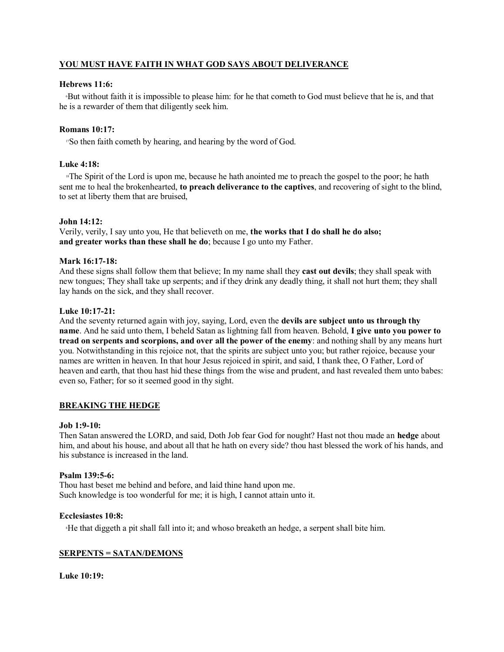# **YOU MUST HAVE FAITH IN WHAT GOD SAYS ABOUT DELIVERANCE**

## **Hebrews 11:6:**

<sup>6</sup>But without faith it is impossible to please him: for he that cometh to God must believe that he is, and that he is a rewarder of them that diligently seek him.

## **Romans 10:17:**

<sup>17</sup>So then faith cometh by hearing, and hearing by the word of God.

## **Luke 4:18:**

<sup>18</sup>The Spirit of the Lord is upon me, because he hath anointed me to preach the gospel to the poor; he hath sent me to heal the brokenhearted, **to preach deliverance to the captives**, and recovering of sight to the blind, to set at liberty them that are bruised,

## **John 14:12:**

Verily, verily, I say unto you, He that believeth on me, **the works that I do shall he do also; and greater works than these shall he do**; because I go unto my Father.

## **Mark 16:17-18:**

And these signs shall follow them that believe; In my name shall they **cast out devils**; they shall speak with new tongues; They shall take up serpents; and if they drink any deadly thing, it shall not hurt them; they shall lay hands on the sick, and they shall recover.

## **Luke 10:17-21:**

And the seventy returned again with joy, saying, Lord, even the **devils are subject unto us through thy name**. And he said unto them, I beheld Satan as lightning fall from heaven. Behold, **I give unto you power to tread on serpents and scorpions, and over all the power of the enemy**: and nothing shall by any means hurt you. Notwithstanding in this rejoice not, that the spirits are subject unto you; but rather rejoice, because your names are written in heaven. In that hour Jesus rejoiced in spirit, and said, I thank thee, O Father, Lord of heaven and earth, that thou hast hid these things from the wise and prudent, and hast revealed them unto babes: even so, Father; for so it seemed good in thy sight.

## **BREAKING THE HEDGE**

### **Job 1:9-10:**

Then Satan answered the LORD, and said, Doth Job fear God for nought? Hast not thou made an **hedge** about him, and about his house, and about all that he hath on every side? thou hast blessed the work of his hands, and his substance is increased in the land.

### **Psalm 139:5-6:**

Thou hast beset me behind and before, and laid thine hand upon me. Such knowledge is too wonderful for me; it is high, I cannot attain unto it.

### **Ecclesiastes 10:8:**

<sup>8</sup>He that diggeth a pit shall fall into it; and whoso breaketh an hedge, a serpent shall bite him.

## **SERPENTS = SATAN/DEMONS**

**Luke 10:19:**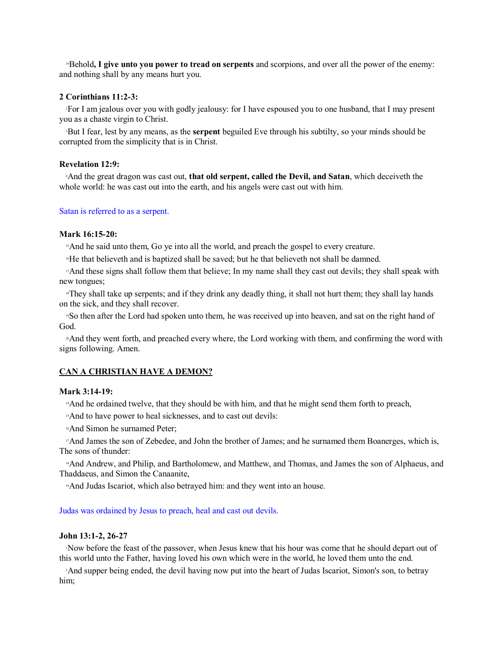<sup>19</sup>Behold**, I give unto you power to tread on serpents** and scorpions, and over all the power of the enemy: and nothing shall by any means hurt you.

# **2 Corinthians 11:2-3:**

<sup>2</sup>For I am jealous over you with godly jealousy: for I have espoused you to one husband, that I may present you as a chaste virgin to Christ.

<sup>3</sup>But I fear, lest by any means, as the **serpent** beguiled Eve through his subtilty, so your minds should be corrupted from the simplicity that is in Christ.

## **Revelation 12:9:**

<sup>9</sup>And the great dragon was cast out, **that old serpent, called the Devil, and Satan**, which deceiveth the whole world: he was cast out into the earth, and his angels were cast out with him.

### Satan is referred to as a serpent.

### **Mark 16:15-20:**

<sup>15</sup>And he said unto them, Go ye into all the world, and preach the gospel to every creature.

<sup>16</sup>He that believeth and is baptized shall be saved; but he that believeth not shall be damned.

<sup>17</sup>And these signs shall follow them that believe; In my name shall they cast out devils; they shall speak with new tongues;

<sup>18</sup>They shall take up serpents; and if they drink any deadly thing, it shall not hurt them; they shall lay hands on the sick, and they shall recover.

<sup>19</sup>So then after the Lord had spoken unto them, he was received up into heaven, and sat on the right hand of God.

<sup>20</sup>And they went forth, and preached every where, the Lord working with them, and confirming the word with signs following. Amen.

### **CAN A CHRISTIAN HAVE A DEMON?**

#### **Mark 3:14-19:**

<sup>14</sup>And he ordained twelve, that they should be with him, and that he might send them forth to preach,

<sup>15</sup>And to have power to heal sicknesses, and to cast out devils:

<sup>16</sup>And Simon he surnamed Peter;

<sup>17</sup>And James the son of Zebedee, and John the brother of James; and he surnamed them Boanerges, which is, The sons of thunder:

<sup>18</sup>And Andrew, and Philip, and Bartholomew, and Matthew, and Thomas, and James the son of Alphaeus, and Thaddaeus, and Simon the Canaanite,

<sup>19</sup>And Judas Iscariot, which also betrayed him: and they went into an house.

#### Judas was ordained by Jesus to preach, heal and cast out devils.

### **John 13:1-2, 26-27**

<sup>1</sup>Now before the feast of the passover, when Jesus knew that his hour was come that he should depart out of this world unto the Father, having loved his own which were in the world, he loved them unto the end.

<sup>2</sup>And supper being ended, the devil having now put into the heart of Judas Iscariot, Simon's son, to betray him;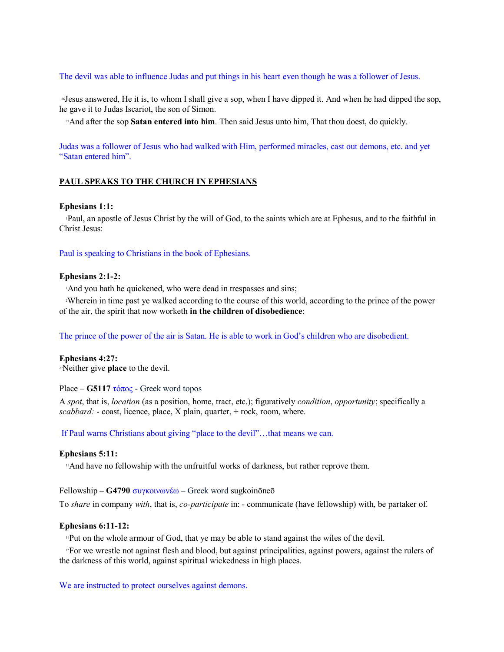The devil was able to influence Judas and put things in his heart even though he was a follower of Jesus.

<sup>26</sup>Jesus answered, He it is, to whom I shall give a sop, when I have dipped it. And when he had dipped the sop, he gave it to Judas Iscariot, the son of Simon.

<sup>27</sup>And after the sop **Satan entered into him**. Then said Jesus unto him, That thou doest, do quickly.

Judas was a follower of Jesus who had walked with Him, performed miracles, cast out demons, etc. and yet "Satan entered him".

### **PAUL SPEAKS TO THE CHURCH IN EPHESIANS**

#### **Ephesians 1:1:**

<sup>1</sup>Paul, an apostle of Jesus Christ by the will of God, to the saints which are at Ephesus, and to the faithful in Christ Jesus:

Paul is speaking to Christians in the book of Ephesians.

### **Ephesians 2:1-2:**

<sup>1</sup>And you hath he quickened, who were dead in trespasses and sins;

<sup>2</sup>Wherein in time past ye walked according to the course of this world, according to the prince of the power of the air, the spirit that now worketh **in the children of disobedience**:

The prince of the power of the air is Satan. He is able to work in God's children who are disobedient.

#### **Ephesians 4:27:**

<sup>27</sup>Neither give **place** to the devil.

#### Place –  $G5117 \tau \acute{o} \pi$ oc - Greek word topos

A *spot*, that is, *location* (as a position, home, tract, etc.); figuratively *condition*, *opportunity*; specifically a *scabbard:* - coast, licence, place, X plain, quarter, + rock, room, where.

If Paul warns Christians about giving "place to the devil"…that means we can.

### **Ephesians 5:11:**

<sup>11</sup>And have no fellowship with the unfruitful works of darkness, but rather reprove them.

 $F$ ellowship – **G4790**  $\sigma$ vykow $\omega \times \omega$  – Greek word sugkoinoneo

To *share* in company *with*, that is, *co-participate* in: - communicate (have fellowship) with, be partaker of.

### **Ephesians 6:11-12:**

<sup>11</sup>Put on the whole armour of God, that ye may be able to stand against the wiles of the devil.

<sup>12</sup>For we wrestle not against flesh and blood, but against principalities, against powers, against the rulers of the darkness of this world, against spiritual wickedness in high places.

We are instructed to protect ourselves against demons.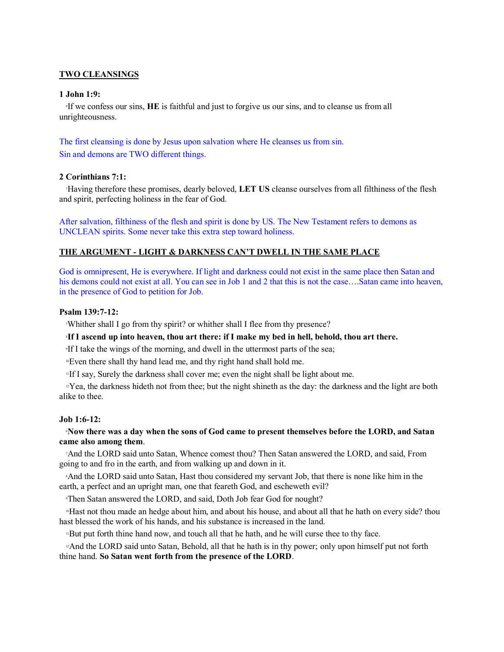## **TWO CLEANSINGS**

## **1 John 1:9:**

<sup>9</sup>If we confess our sins, **HE** is faithful and just to forgive us our sins, and to cleanse us from all unrighteousness.

The first cleansing is done by Jesus upon salvation where He cleanses us from sin. Sin and demons are TWO different things.

## **2 Corinthians 7:1:**

<sup>1</sup>Having therefore these promises, dearly beloved, **LET US** cleanse ourselves from all filthiness of the flesh and spirit, perfecting holiness in the fear of God.

After salvation, filthiness of the flesh and spirit is done by US. The New Testament refers to demons as UNCLEAN spirits. Some never take this extra step toward holiness.

### **THE ARGUMENT - LIGHT & DARKNESS CAN'T DWELL IN THE SAME PLACE**

God is omnipresent, He is everywhere. If light and darkness could not exist in the same place then Satan and his demons could not exist at all. You can see in Job 1 and 2 that this is not the case....Satan came into heaven, in the presence of God to petition for Job.

# **Psalm 139:7-12:**

<sup>7</sup>Whither shall I go from thy spirit? or whither shall I flee from thy presence?

## <sup>8</sup>**If I ascend up into heaven, thou art there: if I make my bed in hell, behold, thou art there.**

<sup>9</sup>If I take the wings of the morning, and dwell in the uttermost parts of the sea;

<sup>10</sup>Even there shall thy hand lead me, and thy right hand shall hold me.

<sup>11</sup>If I say, Surely the darkness shall cover me; even the night shall be light about me.

<sup>12</sup>Yea, the darkness hideth not from thee; but the night shineth as the day: the darkness and the light are both alike to thee.

#### **Job 1:6-12:**

## <sup>6</sup>**Now there was a day when the sons of God came to present themselves before the LORD, and Satan came also among them**.

<sup>7</sup>And the LORD said unto Satan, Whence comest thou? Then Satan answered the LORD, and said, From going to and fro in the earth, and from walking up and down in it.

<sup>8</sup>And the LORD said unto Satan, Hast thou considered my servant Job, that there is none like him in the earth, a perfect and an upright man, one that feareth God, and escheweth evil?

<sup>9</sup>Then Satan answered the LORD, and said, Doth Job fear God for nought?

<sup>10</sup>Hast not thou made an hedge about him, and about his house, and about all that he hath on every side? thou hast blessed the work of his hands, and his substance is increased in the land.

<sup>11</sup>But put forth thine hand now, and touch all that he hath, and he will curse thee to thy face.

<sup>12</sup>And the LORD said unto Satan, Behold, all that he hath is in thy power; only upon himself put not forth thine hand. **So Satan went forth from the presence of the LORD**.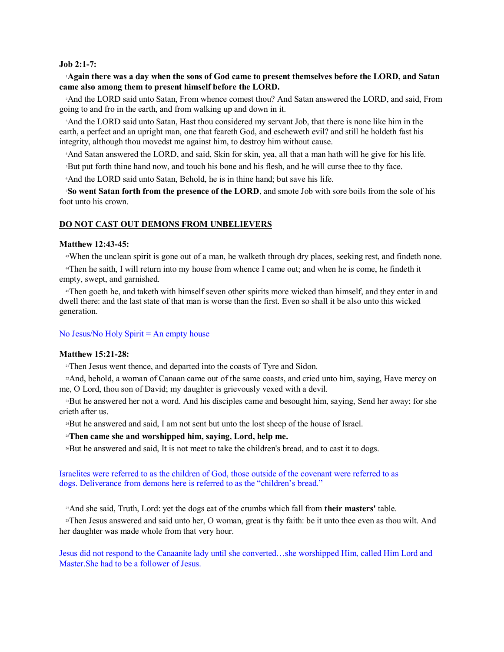#### **Job 2:1-7:**

### <sup>1</sup>**Again there was a day when the sons of God came to present themselves before the LORD, and Satan came also among them to present himself before the LORD.**

<sup>2</sup>And the LORD said unto Satan, From whence comest thou? And Satan answered the LORD, and said, From going to and fro in the earth, and from walking up and down in it.

<sup>3</sup>And the LORD said unto Satan, Hast thou considered my servant Job, that there is none like him in the earth, a perfect and an upright man, one that feareth God, and escheweth evil? and still he holdeth fast his integrity, although thou movedst me against him, to destroy him without cause.

<sup>4</sup>And Satan answered the LORD, and said, Skin for skin, yea, all that a man hath will he give for his life.

<sup>5</sup>But put forth thine hand now, and touch his bone and his flesh, and he will curse thee to thy face.

<sup>6</sup>And the LORD said unto Satan, Behold, he is in thine hand; but save his life.

<sup>7</sup>**So went Satan forth from the presence of the LORD**, and smote Job with sore boils from the sole of his foot unto his crown.

### **DO NOT CAST OUT DEMONS FROM UNBELIEVERS**

### **Matthew 12:43-45:**

<sup>43</sup>When the unclean spirit is gone out of a man, he walketh through dry places, seeking rest, and findeth none.

<sup>44</sup>Then he saith, I will return into my house from whence I came out; and when he is come, he findeth it empty, swept, and garnished.

<sup>45</sup>Then goeth he, and taketh with himself seven other spirits more wicked than himself, and they enter in and dwell there: and the last state of that man is worse than the first. Even so shall it be also unto this wicked generation.

### No Jesus/No Holy Spirit = An empty house

### **Matthew 15:21-28:**

<sup>21</sup>Then Jesus went thence, and departed into the coasts of Tyre and Sidon.

<sup>22</sup>And, behold, a woman of Canaan came out of the same coasts, and cried unto him, saying, Have mercy on me, O Lord, thou son of David; my daughter is grievously vexed with a devil.

<sup>23</sup>But he answered her not a word. And his disciples came and besought him, saying, Send her away; for she crieth after us.

<sup>24</sup>But he answered and said, I am not sent but unto the lost sheep of the house of Israel.

#### <sup>25</sup>**Then came she and worshipped him, saying, Lord, help me.**

<sup>26</sup>But he answered and said, It is not meet to take the children's bread, and to cast it to dogs.

Israelites were referred to as the children of God, those outside of the covenant were referred to as dogs. Deliverance from demons here is referred to as the "children's bread."

<sup>27</sup>And she said, Truth, Lord: yet the dogs eat of the crumbs which fall from **their masters'** table.

<sup>28</sup>Then Jesus answered and said unto her, O woman, great is thy faith: be it unto thee even as thou wilt. And her daughter was made whole from that very hour.

Jesus did not respond to the Canaanite lady until she converted…she worshipped Him, called Him Lord and Master.She had to be a follower of Jesus.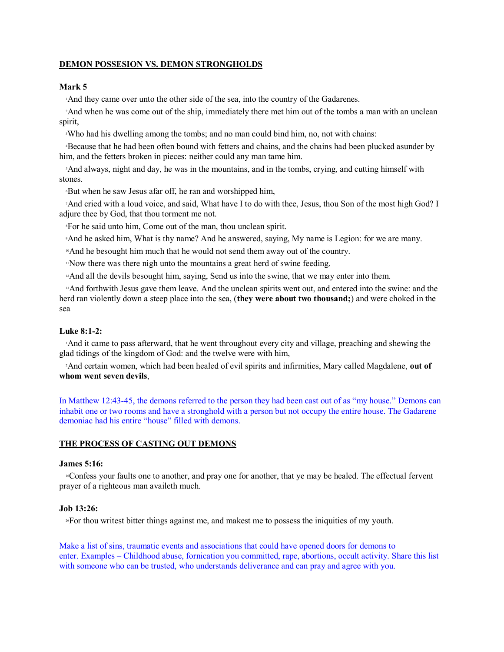# **DEMON POSSESION VS. DEMON STRONGHOLDS**

### **Mark 5**

<sup>1</sup>And they came over unto the other side of the sea, into the country of the Gadarenes.

<sup>2</sup>And when he was come out of the ship, immediately there met him out of the tombs a man with an unclean spirit,

<sup>3</sup>Who had his dwelling among the tombs; and no man could bind him, no, not with chains:

<sup>4</sup>Because that he had been often bound with fetters and chains, and the chains had been plucked asunder by him, and the fetters broken in pieces: neither could any man tame him.

<sup>5</sup>And always, night and day, he was in the mountains, and in the tombs, crying, and cutting himself with stones.

<sup>6</sup>But when he saw Jesus afar off, he ran and worshipped him,

<sup>7</sup>And cried with a loud voice, and said, What have I to do with thee, Jesus, thou Son of the most high God? I adjure thee by God, that thou torment me not.

<sup>8</sup>For he said unto him, Come out of the man, thou unclean spirit.

<sup>9</sup>And he asked him, What is thy name? And he answered, saying, My name is Legion: for we are many.

<sup>10</sup>And he besought him much that he would not send them away out of the country.

<sup>11</sup>Now there was there nigh unto the mountains a great herd of swine feeding.

<sup>12</sup>And all the devils besought him, saying, Send us into the swine, that we may enter into them.

<sup>13</sup>And forthwith Jesus gave them leave. And the unclean spirits went out, and entered into the swine: and the herd ran violently down a steep place into the sea, (**they were about two thousand;**) and were choked in the sea

## **Luke 8:1-2:**

<sup>1</sup>And it came to pass afterward, that he went throughout every city and village, preaching and shewing the glad tidings of the kingdom of God: and the twelve were with him,

<sup>2</sup>And certain women, which had been healed of evil spirits and infirmities, Mary called Magdalene, **out of whom went seven devils**,

In Matthew 12:43-45, the demons referred to the person they had been cast out of as "my house." Demons can inhabit one or two rooms and have a stronghold with a person but not occupy the entire house. The Gadarene demoniac had his entire "house" filled with demons.

### **THE PROCESS OF CASTING OUT DEMONS**

### **James 5:16:**

<sup>16</sup>Confess your faults one to another, and pray one for another, that ye may be healed. The effectual fervent prayer of a righteous man availeth much.

#### **Job 13:26:**

<sup>26</sup>For thou writest bitter things against me, and makest me to possess the iniquities of my youth.

Make a list of sins, traumatic events and associations that could have opened doors for demons to enter. Examples – Childhood abuse, fornication you committed, rape, abortions, occult activity. Share this list with someone who can be trusted, who understands deliverance and can pray and agree with you.